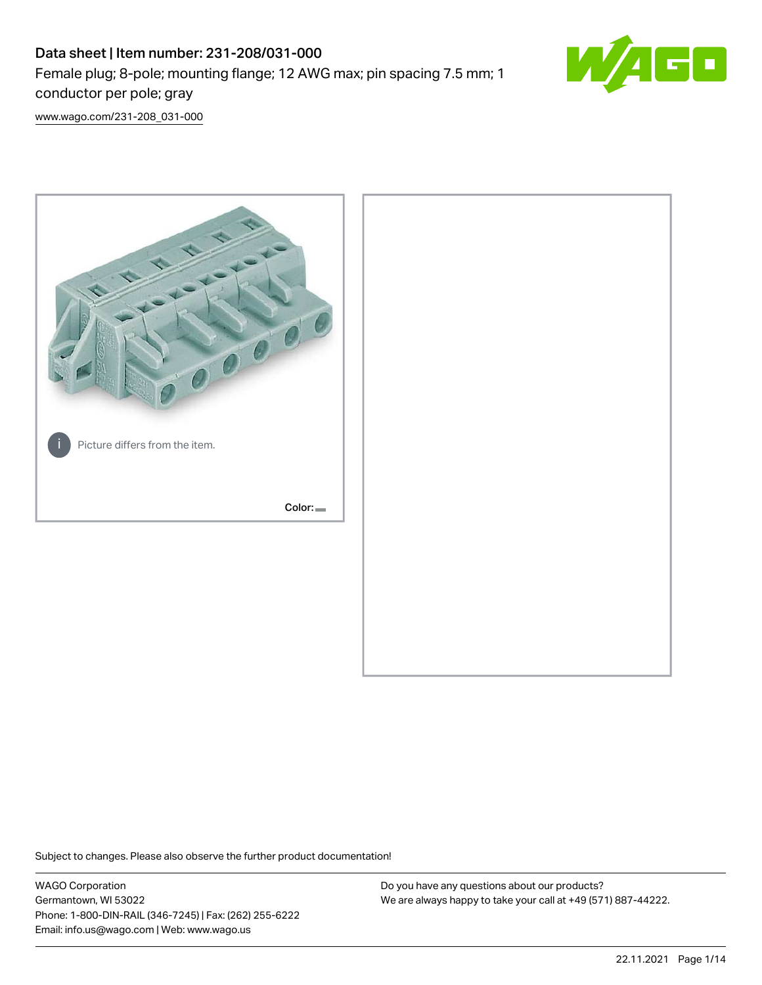# Data sheet | Item number: 231-208/031-000 Female plug; 8-pole; mounting flange; 12 AWG max; pin spacing 7.5 mm; 1 conductor per pole; gray



[www.wago.com/231-208\\_031-000](http://www.wago.com/231-208_031-000)



Subject to changes. Please also observe the further product documentation!

WAGO Corporation Germantown, WI 53022 Phone: 1-800-DIN-RAIL (346-7245) | Fax: (262) 255-6222 Email: info.us@wago.com | Web: www.wago.us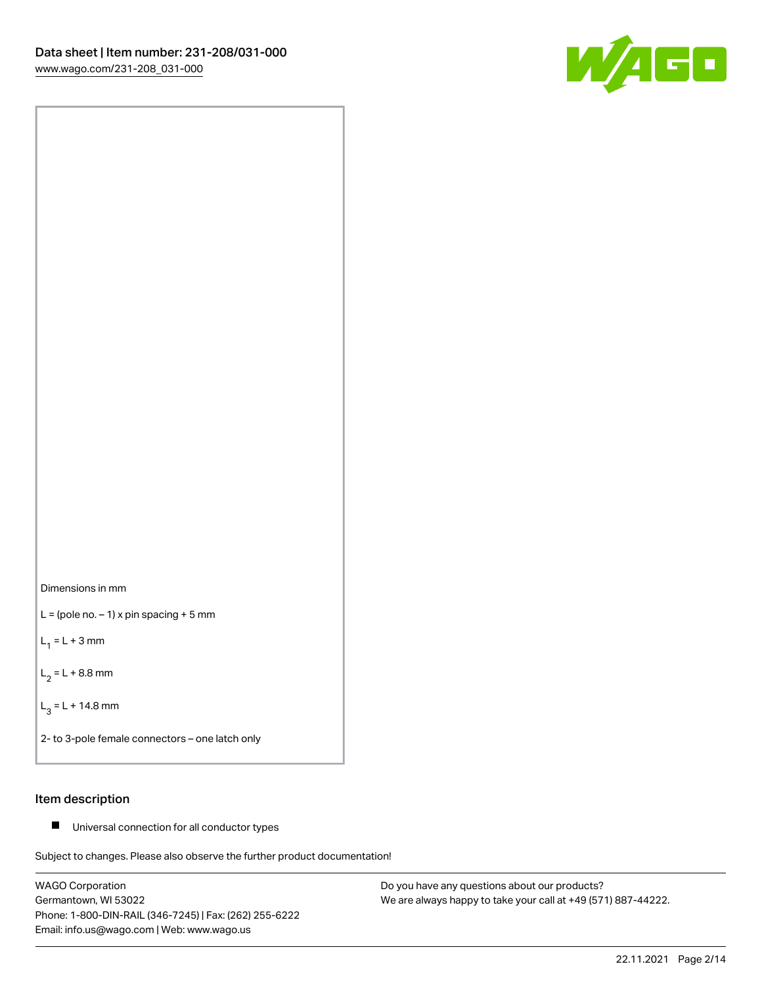



 $L =$  (pole no.  $-1$ ) x pin spacing + 5 mm

 $L_1 = L + 3$  mm

 $L_2 = L + 8.8$  mm

 $L_3 = L + 14.8$  mm

2- to 3-pole female connectors – one latch only

# Item description

■ Universal connection for all conductor types

Subject to changes. Please also observe the further product documentation!

WAGO Corporation Germantown, WI 53022 Phone: 1-800-DIN-RAIL (346-7245) | Fax: (262) 255-6222 Email: info.us@wago.com | Web: www.wago.us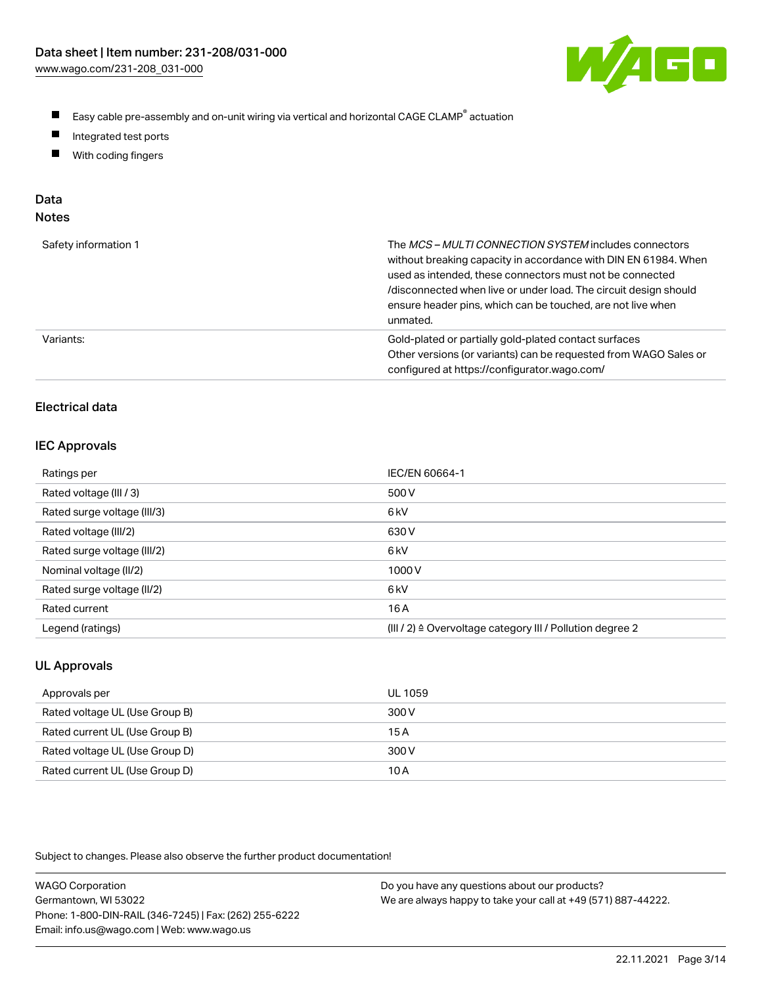

- $\blacksquare$ Easy cable pre-assembly and on-unit wiring via vertical and horizontal CAGE CLAMP<sup>®</sup> actuation
- $\blacksquare$ Integrated test ports
- $\blacksquare$ With coding fingers

# Data

| ×<br>w<br>w<br>٠<br>۹<br>۰, |  |
|-----------------------------|--|
|-----------------------------|--|

| Safety information 1 | The MCS-MULTI CONNECTION SYSTEM includes connectors<br>without breaking capacity in accordance with DIN EN 61984. When<br>used as intended, these connectors must not be connected<br>/disconnected when live or under load. The circuit design should<br>ensure header pins, which can be touched, are not live when<br>unmated. |
|----------------------|-----------------------------------------------------------------------------------------------------------------------------------------------------------------------------------------------------------------------------------------------------------------------------------------------------------------------------------|
| Variants:            | Gold-plated or partially gold-plated contact surfaces<br>Other versions (or variants) can be requested from WAGO Sales or<br>configured at https://configurator.wago.com/                                                                                                                                                         |

# Electrical data

#### IEC Approvals

| Ratings per                 | IEC/EN 60664-1                                                        |
|-----------------------------|-----------------------------------------------------------------------|
| Rated voltage (III / 3)     | 500 V                                                                 |
| Rated surge voltage (III/3) | 6 <sub>k</sub> V                                                      |
| Rated voltage (III/2)       | 630 V                                                                 |
| Rated surge voltage (III/2) | 6 kV                                                                  |
| Nominal voltage (II/2)      | 1000V                                                                 |
| Rated surge voltage (II/2)  | 6 kV                                                                  |
| Rated current               | 16A                                                                   |
| Legend (ratings)            | $(III / 2)$ $\triangle$ Overvoltage category III / Pollution degree 2 |

# UL Approvals

| Approvals per                  | UL 1059 |
|--------------------------------|---------|
| Rated voltage UL (Use Group B) | 300 V   |
| Rated current UL (Use Group B) | 15 A    |
| Rated voltage UL (Use Group D) | 300 V   |
| Rated current UL (Use Group D) | 10 A    |

Subject to changes. Please also observe the further product documentation!

| <b>WAGO Corporation</b>                                | Do you have any questions about our products?                 |
|--------------------------------------------------------|---------------------------------------------------------------|
| Germantown, WI 53022                                   | We are always happy to take your call at +49 (571) 887-44222. |
| Phone: 1-800-DIN-RAIL (346-7245)   Fax: (262) 255-6222 |                                                               |
| Email: info.us@wago.com   Web: www.wago.us             |                                                               |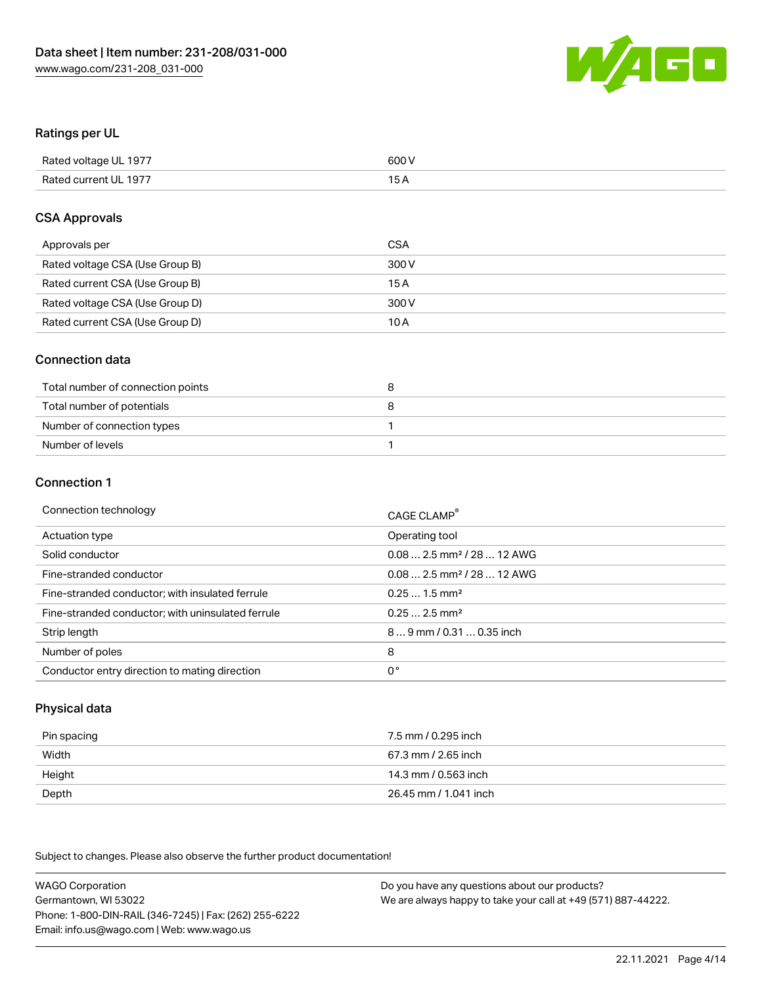

# Ratings per UL

| Rated voltage UL 1977 | 600 V |
|-----------------------|-------|
| Rated current UL 1977 | 1 E   |

# CSA Approvals

| Approvals per                   | CSA   |
|---------------------------------|-------|
| Rated voltage CSA (Use Group B) | 300 V |
| Rated current CSA (Use Group B) | 15 A  |
| Rated voltage CSA (Use Group D) | 300 V |
| Rated current CSA (Use Group D) | 10 A  |

# Connection data

| Total number of connection points |  |
|-----------------------------------|--|
| Total number of potentials        |  |
| Number of connection types        |  |
| Number of levels                  |  |

#### Connection 1

| Connection technology                             | CAGE CLAMP <sup>®</sup>                 |
|---------------------------------------------------|-----------------------------------------|
| Actuation type                                    | Operating tool                          |
| Solid conductor                                   | $0.08$ 2.5 mm <sup>2</sup> / 28  12 AWG |
| Fine-stranded conductor                           | $0.082.5$ mm <sup>2</sup> / 28  12 AWG  |
| Fine-stranded conductor; with insulated ferrule   | $0.251.5$ mm <sup>2</sup>               |
| Fine-stranded conductor; with uninsulated ferrule | $0.252.5$ mm <sup>2</sup>               |
| Strip length                                      | 89 mm / 0.31  0.35 inch                 |
| Number of poles                                   | 8                                       |
| Conductor entry direction to mating direction     | 0°                                      |

# Physical data

| Pin spacing | 7.5 mm / 0.295 inch   |
|-------------|-----------------------|
| Width       | 67.3 mm / 2.65 inch   |
| Height      | 14.3 mm / 0.563 inch  |
| Depth       | 26.45 mm / 1.041 inch |

Subject to changes. Please also observe the further product documentation!

WAGO Corporation Germantown, WI 53022 Phone: 1-800-DIN-RAIL (346-7245) | Fax: (262) 255-6222 Email: info.us@wago.com | Web: www.wago.us Do you have any questions about our products? We are always happy to take your call at +49 (571) 887-44222.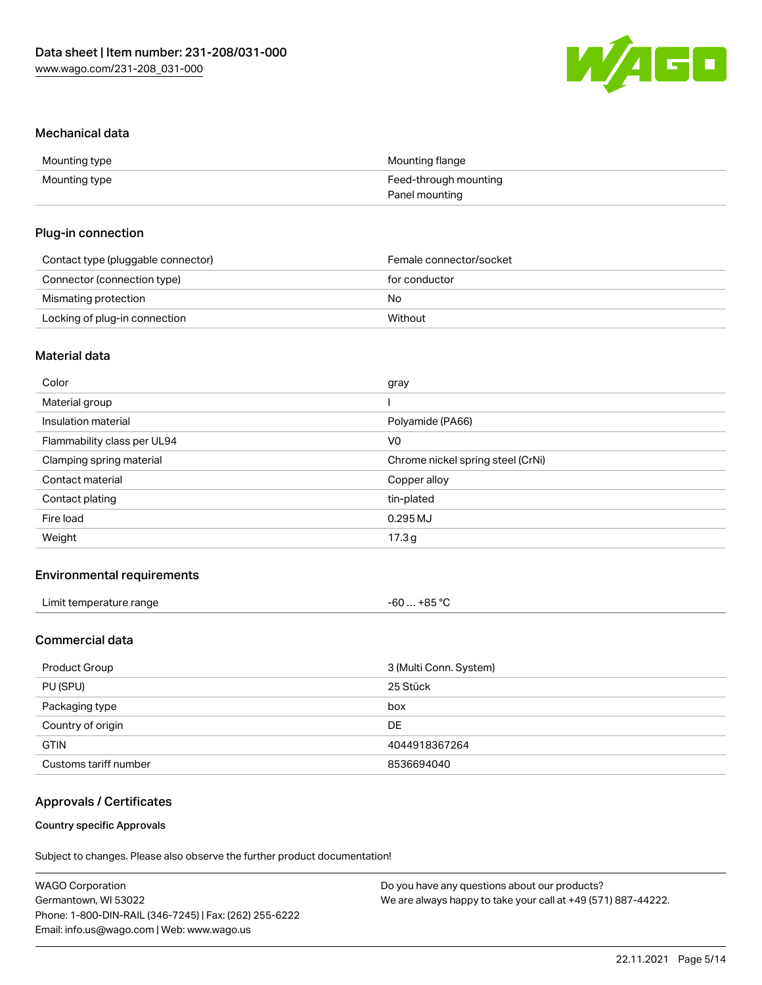

#### Mechanical data

| Mounting type | Mounting flange       |
|---------------|-----------------------|
| Mounting type | Feed-through mounting |
|               | Panel mounting        |

# Plug-in connection

| Contact type (pluggable connector) | Female connector/socket |
|------------------------------------|-------------------------|
| Connector (connection type)        | for conductor           |
| Mismating protection               | No                      |
| Locking of plug-in connection      | Without                 |

# Material data

| Color                       | gray                              |
|-----------------------------|-----------------------------------|
| Material group              |                                   |
| Insulation material         | Polyamide (PA66)                  |
| Flammability class per UL94 | V0                                |
| Clamping spring material    | Chrome nickel spring steel (CrNi) |
| Contact material            | Copper alloy                      |
| Contact plating             | tin-plated                        |
| Fire load                   | 0.295 MJ                          |
| Weight                      | 17.3g                             |
|                             |                                   |

# Environmental requirements

| Limit temperature range<br>and the contract of the contract of the contract of the contract of the contract of the contract of the contract of the contract of the contract of the contract of the contract of the contract of the contract of the contra | . +85 °C<br>-60 … |  |
|-----------------------------------------------------------------------------------------------------------------------------------------------------------------------------------------------------------------------------------------------------------|-------------------|--|
|-----------------------------------------------------------------------------------------------------------------------------------------------------------------------------------------------------------------------------------------------------------|-------------------|--|

# Commercial data

| Product Group         | 3 (Multi Conn. System) |
|-----------------------|------------------------|
| PU (SPU)              | 25 Stück               |
| Packaging type        | box                    |
| Country of origin     | DE                     |
| <b>GTIN</b>           | 4044918367264          |
| Customs tariff number | 8536694040             |

# Approvals / Certificates

## Country specific Approvals

Subject to changes. Please also observe the further product documentation!

| <b>WAGO Corporation</b>                                | Do you have any questions about our products?                 |
|--------------------------------------------------------|---------------------------------------------------------------|
| Germantown, WI 53022                                   | We are always happy to take your call at +49 (571) 887-44222. |
| Phone: 1-800-DIN-RAIL (346-7245)   Fax: (262) 255-6222 |                                                               |
| Email: info.us@wago.com   Web: www.wago.us             |                                                               |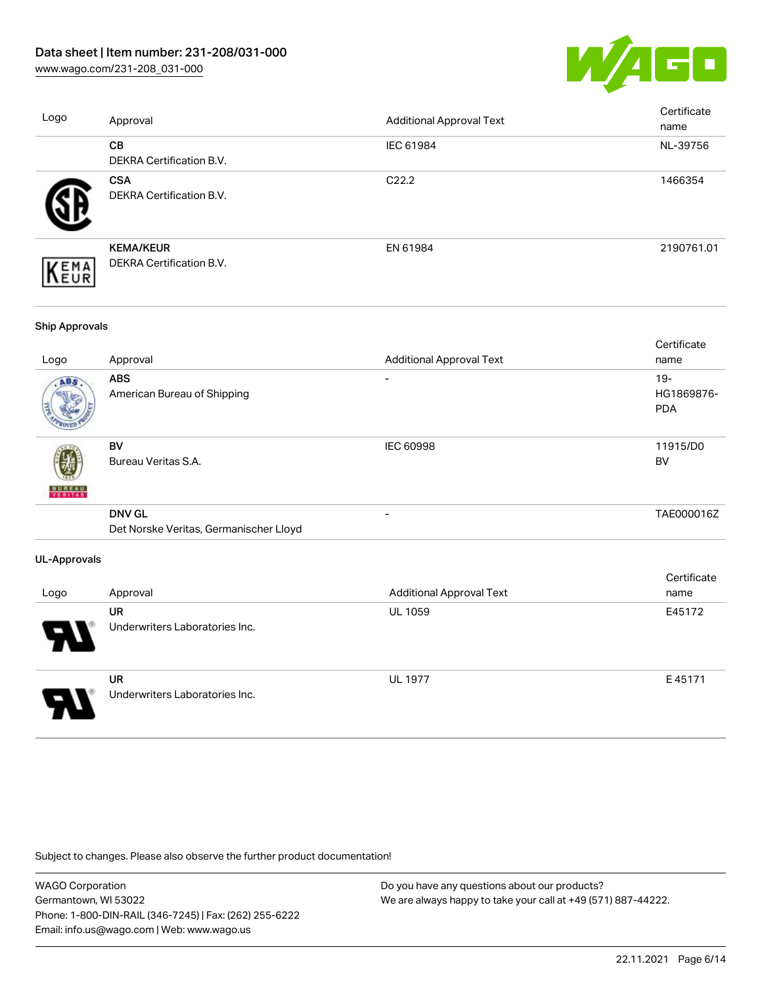[www.wago.com/231-208\\_031-000](http://www.wago.com/231-208_031-000)



| Logo | Approval                                            | <b>Additional Approval Text</b> | Certificate<br>name |
|------|-----------------------------------------------------|---------------------------------|---------------------|
|      | <b>CB</b><br><b>DEKRA Certification B.V.</b>        | IEC 61984                       | NL-39756            |
|      | <b>CSA</b><br>DEKRA Certification B.V.              | C <sub>22.2</sub>               | 1466354             |
| EMA  | <b>KEMA/KEUR</b><br><b>DEKRA Certification B.V.</b> | EN 61984                        | 2190761.01          |

#### Ship Approvals

| Logo                | Approval                                                | <b>Additional Approval Text</b> | Certificate<br>name                |
|---------------------|---------------------------------------------------------|---------------------------------|------------------------------------|
| ABS                 | <b>ABS</b><br>American Bureau of Shipping               |                                 | $19 -$<br>HG1869876-<br><b>PDA</b> |
| <b>BUNEAU</b>       | <b>BV</b><br>Bureau Veritas S.A.                        | <b>IEC 60998</b>                | 11915/D0<br><b>BV</b>              |
|                     | <b>DNV GL</b><br>Det Norske Veritas, Germanischer Lloyd | $\overline{\phantom{0}}$        | TAE000016Z                         |
| <b>UL-Approvals</b> |                                                         |                                 |                                    |
| Logo                | Approval                                                | <b>Additional Approval Text</b> | Certificate<br>name                |
|                     | <b>UR</b><br>Underwriters Laboratories Inc.             | <b>UL 1059</b>                  | E45172                             |



UR Underwriters Laboratories Inc. UL 1977 E 45171

Subject to changes. Please also observe the further product documentation!

WAGO Corporation Germantown, WI 53022 Phone: 1-800-DIN-RAIL (346-7245) | Fax: (262) 255-6222 Email: info.us@wago.com | Web: www.wago.us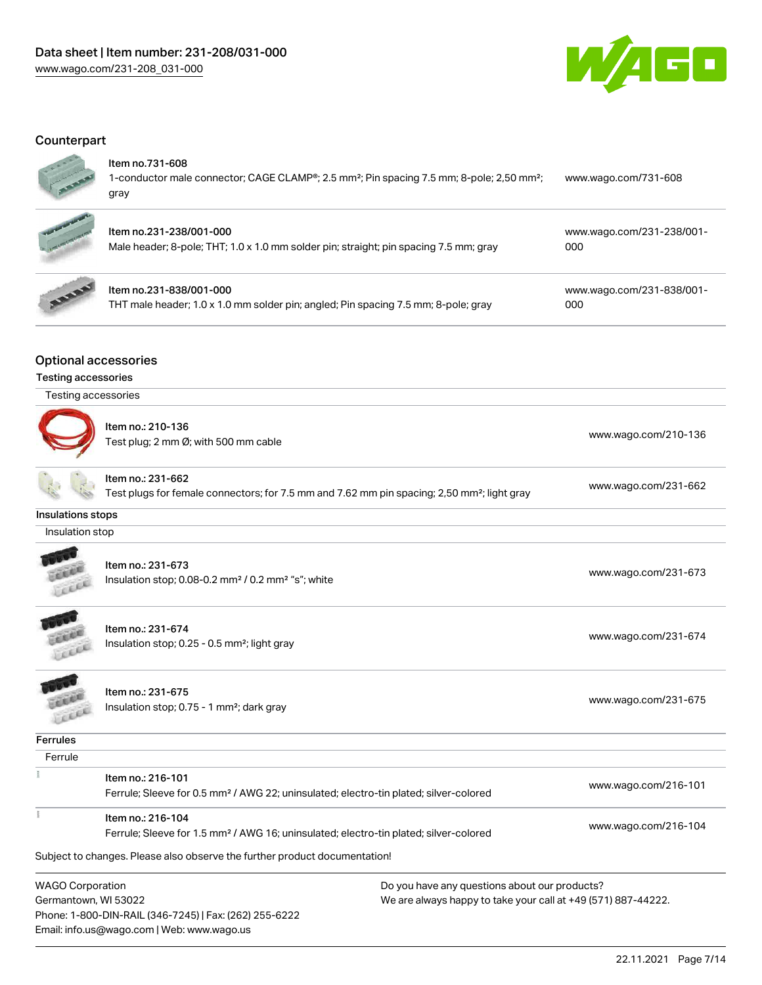

# **Counterpart**



#### Item no.731-608

| 1-conductor male connector; CAGE CLAMP <sup>®</sup> ; 2.5 mm <sup>2</sup> ; Pin spacing 7.5 mm; 8-pole; 2,50 mm <sup>2</sup> ; | www.wago.com/731-608 |
|--------------------------------------------------------------------------------------------------------------------------------|----------------------|
| gray                                                                                                                           |                      |



# Item no.231-238/001-000

Male header; 8-pole; THT; 1.0 x 1.0 mm solder pin; straight; pin spacing 7.5 mm; gray [000](https://www.wago.com/231-238/001-000)



# Item no.231-838/001-000

THT male header; 1.0 x 1.0 mm solder pin; angled; Pin spacing 7.5 mm; 8-pole; gray

[www.wago.com/231-838/001-](https://www.wago.com/231-838/001-000) [000](https://www.wago.com/231-838/001-000)

[www.wago.com/231-238/001-](https://www.wago.com/231-238/001-000)

# Optional accessories

#### Testing accessories

| Testing accessories |                                                                                                                              |                      |
|---------------------|------------------------------------------------------------------------------------------------------------------------------|----------------------|
|                     | Item no.: 210-136<br>Test plug; 2 mm Ø; with 500 mm cable                                                                    | www.wago.com/210-136 |
|                     | Item no.: 231-662<br>Test plugs for female connectors; for 7.5 mm and 7.62 mm pin spacing; 2,50 mm <sup>2</sup> ; light gray | www.wago.com/231-662 |
| Insulations stops   |                                                                                                                              |                      |
| Insulation stop     |                                                                                                                              |                      |
|                     | Item no.: 231-673<br>Insulation stop; 0.08-0.2 mm <sup>2</sup> / 0.2 mm <sup>2</sup> "s"; white                              | www.wago.com/231-673 |
|                     | Item no.: 231-674<br>Insulation stop; 0.25 - 0.5 mm <sup>2</sup> ; light gray                                                | www.wago.com/231-674 |
|                     | Item no.: 231-675<br>Insulation stop; 0.75 - 1 mm <sup>2</sup> ; dark gray                                                   | www.wago.com/231-675 |
| <b>Ferrules</b>     |                                                                                                                              |                      |
| Ferrule             |                                                                                                                              |                      |
|                     | Item no.: 216-101<br>Ferrule; Sleeve for 0.5 mm <sup>2</sup> / AWG 22; uninsulated; electro-tin plated; silver-colored       | www.wago.com/216-101 |
|                     | $\mathbf{a}$                                                                                                                 |                      |

# Ferrule; Sleeve for 1.5 mm² / AWG 16; uninsulated; electro-tin plated; silver-colored [www.wago.com/216-104](http://www.wago.com/216-104)

Subject to changes. Please also observe the further product documentation!

WAGO Corporation Germantown, WI 53022 Phone: 1-800-DIN-RAIL (346-7245) | Fax: (262) 255-6222 Email: info.us@wago.com | Web: www.wago.us

Item no.: 216-104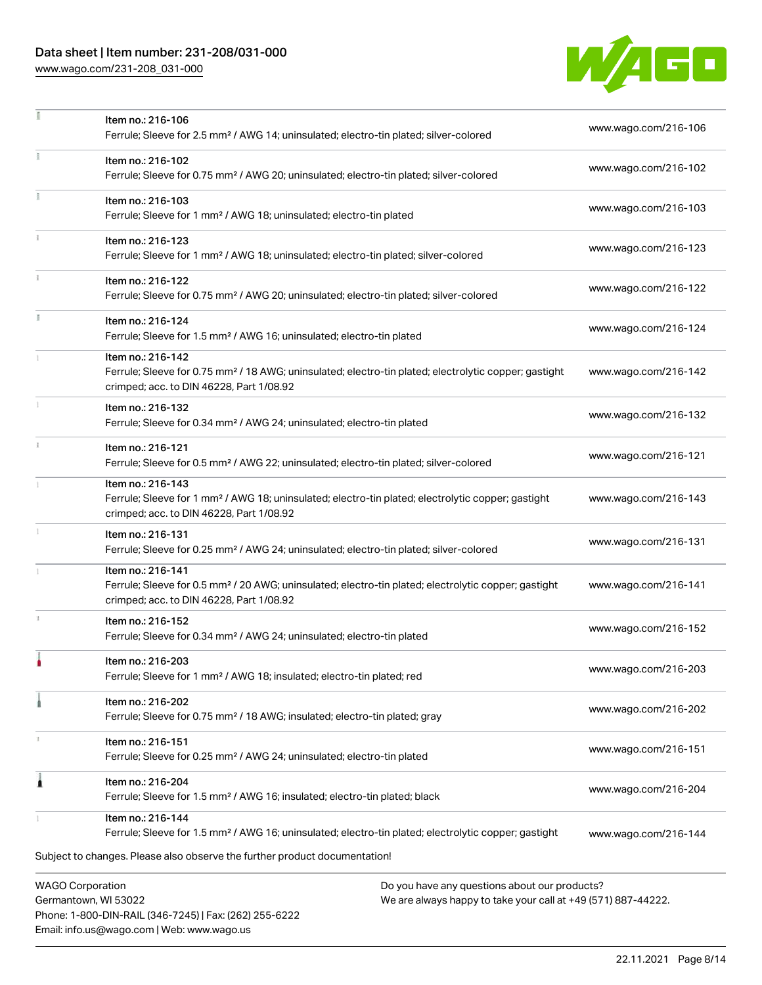# Data sheet | Item number: 231-208/031-000

[www.wago.com/231-208\\_031-000](http://www.wago.com/231-208_031-000)

Email: info.us@wago.com | Web: www.wago.us



|    | Item no.: 216-106<br>Ferrule; Sleeve for 2.5 mm <sup>2</sup> / AWG 14; uninsulated; electro-tin plated; silver-colored                                                                                                      | www.wago.com/216-106 |
|----|-----------------------------------------------------------------------------------------------------------------------------------------------------------------------------------------------------------------------------|----------------------|
|    | Item no.: 216-102<br>Ferrule; Sleeve for 0.75 mm <sup>2</sup> / AWG 20; uninsulated; electro-tin plated; silver-colored                                                                                                     | www.wago.com/216-102 |
|    | Item no.: 216-103<br>Ferrule; Sleeve for 1 mm <sup>2</sup> / AWG 18; uninsulated; electro-tin plated                                                                                                                        | www.wago.com/216-103 |
|    | Item no.: 216-123<br>Ferrule; Sleeve for 1 mm <sup>2</sup> / AWG 18; uninsulated; electro-tin plated; silver-colored                                                                                                        | www.wago.com/216-123 |
|    | Item no.: 216-122<br>Ferrule; Sleeve for 0.75 mm <sup>2</sup> / AWG 20; uninsulated; electro-tin plated; silver-colored                                                                                                     | www.wago.com/216-122 |
| I. | Item no.: 216-124<br>Ferrule; Sleeve for 1.5 mm <sup>2</sup> / AWG 16; uninsulated; electro-tin plated                                                                                                                      | www.wago.com/216-124 |
|    | Item no.: 216-142<br>Ferrule; Sleeve for 0.75 mm <sup>2</sup> / 18 AWG; uninsulated; electro-tin plated; electrolytic copper; gastight<br>crimped; acc. to DIN 46228, Part 1/08.92                                          | www.wago.com/216-142 |
|    | Item no.: 216-132<br>Ferrule; Sleeve for 0.34 mm <sup>2</sup> / AWG 24; uninsulated; electro-tin plated                                                                                                                     | www.wago.com/216-132 |
|    | Item no.: 216-121<br>Ferrule; Sleeve for 0.5 mm <sup>2</sup> / AWG 22; uninsulated; electro-tin plated; silver-colored                                                                                                      | www.wago.com/216-121 |
|    | Item no.: 216-143<br>Ferrule; Sleeve for 1 mm <sup>2</sup> / AWG 18; uninsulated; electro-tin plated; electrolytic copper; gastight<br>crimped; acc. to DIN 46228, Part 1/08.92                                             | www.wago.com/216-143 |
|    | Item no.: 216-131<br>Ferrule; Sleeve for 0.25 mm <sup>2</sup> / AWG 24; uninsulated; electro-tin plated; silver-colored                                                                                                     | www.wago.com/216-131 |
|    | Item no.: 216-141<br>Ferrule; Sleeve for 0.5 mm <sup>2</sup> / 20 AWG; uninsulated; electro-tin plated; electrolytic copper; gastight<br>crimped; acc. to DIN 46228, Part 1/08.92                                           | www.wago.com/216-141 |
|    | Item no.: 216-152<br>Ferrule; Sleeve for 0.34 mm <sup>2</sup> / AWG 24; uninsulated; electro-tin plated                                                                                                                     | www.wago.com/216-152 |
|    | Item no.: 216-203<br>Ferrule; Sleeve for 1 mm <sup>2</sup> / AWG 18; insulated; electro-tin plated; red                                                                                                                     | www.wago.com/216-203 |
|    | Item no.: 216-202<br>Ferrule; Sleeve for 0.75 mm <sup>2</sup> / 18 AWG; insulated; electro-tin plated; gray                                                                                                                 | www.wago.com/216-202 |
|    | Item no.: 216-151<br>Ferrule; Sleeve for 0.25 mm <sup>2</sup> / AWG 24; uninsulated; electro-tin plated                                                                                                                     | www.wago.com/216-151 |
| Â  | Item no.: 216-204<br>Ferrule; Sleeve for 1.5 mm <sup>2</sup> / AWG 16; insulated; electro-tin plated; black                                                                                                                 | www.wago.com/216-204 |
|    | Item no.: 216-144<br>Ferrule; Sleeve for 1.5 mm <sup>2</sup> / AWG 16; uninsulated; electro-tin plated; electrolytic copper; gastight                                                                                       | www.wago.com/216-144 |
|    | Subject to changes. Please also observe the further product documentation!                                                                                                                                                  |                      |
|    | <b>WAGO Corporation</b><br>Do you have any questions about our products?<br>Germantown, WI 53022<br>We are always happy to take your call at +49 (571) 887-44222.<br>Phone: 1-800-DIN-RAIL (346-7245)   Fax: (262) 255-6222 |                      |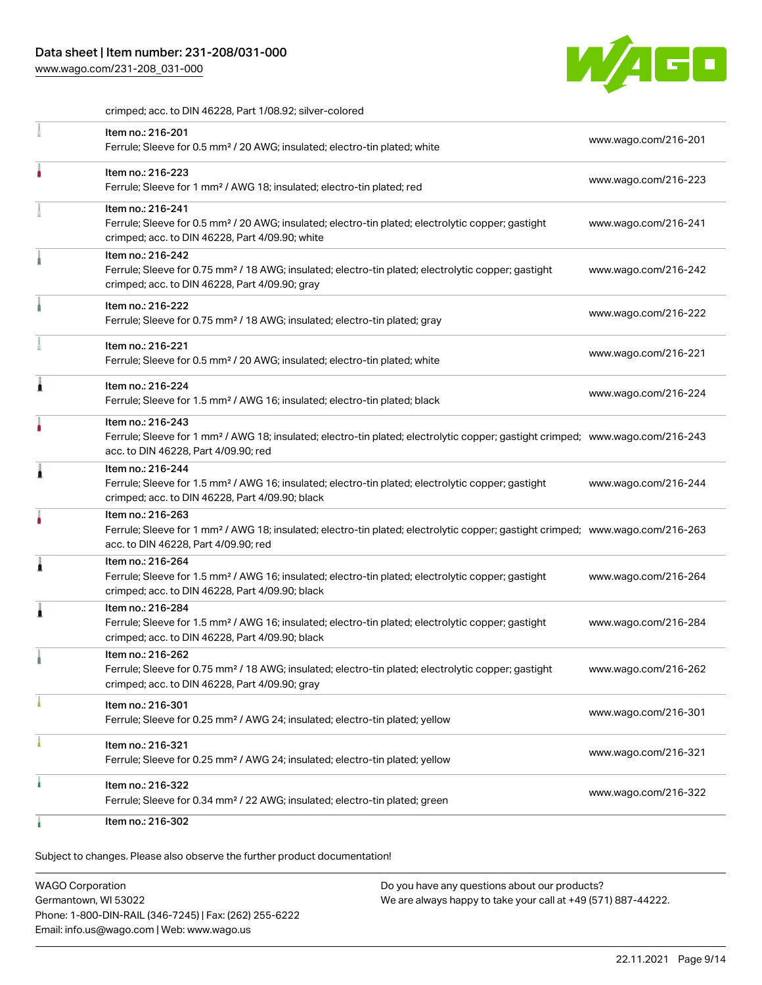[www.wago.com/231-208\\_031-000](http://www.wago.com/231-208_031-000)



crimped; acc. to DIN 46228, Part 1/08.92; silver-colored

| Item no.: 216-201<br>Ferrule; Sleeve for 0.5 mm <sup>2</sup> / 20 AWG; insulated; electro-tin plated; white                                                                                             | www.wago.com/216-201 |
|---------------------------------------------------------------------------------------------------------------------------------------------------------------------------------------------------------|----------------------|
| Item no.: 216-223<br>Ferrule; Sleeve for 1 mm <sup>2</sup> / AWG 18; insulated; electro-tin plated; red                                                                                                 | www.wago.com/216-223 |
| Item no.: 216-241<br>Ferrule; Sleeve for 0.5 mm <sup>2</sup> / 20 AWG; insulated; electro-tin plated; electrolytic copper; gastight<br>crimped; acc. to DIN 46228, Part 4/09.90; white                  | www.wago.com/216-241 |
| Item no.: 216-242<br>Ferrule; Sleeve for 0.75 mm <sup>2</sup> / 18 AWG; insulated; electro-tin plated; electrolytic copper; gastight<br>crimped; acc. to DIN 46228, Part 4/09.90; gray                  | www.wago.com/216-242 |
| Item no.: 216-222<br>Ferrule; Sleeve for 0.75 mm <sup>2</sup> / 18 AWG; insulated; electro-tin plated; gray                                                                                             | www.wago.com/216-222 |
| Item no.: 216-221<br>Ferrule; Sleeve for 0.5 mm <sup>2</sup> / 20 AWG; insulated; electro-tin plated; white                                                                                             | www.wago.com/216-221 |
| Item no.: 216-224<br>Ferrule; Sleeve for 1.5 mm <sup>2</sup> / AWG 16; insulated; electro-tin plated; black                                                                                             | www.wago.com/216-224 |
| Item no.: 216-243<br>Ferrule; Sleeve for 1 mm <sup>2</sup> / AWG 18; insulated; electro-tin plated; electrolytic copper; gastight crimped; www.wago.com/216-243<br>acc. to DIN 46228, Part 4/09.90; red |                      |
| Item no.: 216-244<br>Ferrule; Sleeve for 1.5 mm <sup>2</sup> / AWG 16; insulated; electro-tin plated; electrolytic copper; gastight<br>crimped; acc. to DIN 46228, Part 4/09.90; black                  | www.wago.com/216-244 |
| Item no.: 216-263<br>Ferrule; Sleeve for 1 mm <sup>2</sup> / AWG 18; insulated; electro-tin plated; electrolytic copper; gastight crimped; www.wago.com/216-263<br>acc. to DIN 46228, Part 4/09.90; red |                      |
| Item no.: 216-264<br>Ferrule; Sleeve for 1.5 mm <sup>2</sup> / AWG 16; insulated; electro-tin plated; electrolytic copper; gastight<br>crimped; acc. to DIN 46228, Part 4/09.90; black                  | www.wago.com/216-264 |
| Item no.: 216-284<br>Ferrule; Sleeve for 1.5 mm <sup>2</sup> / AWG 16; insulated; electro-tin plated; electrolytic copper; gastight<br>crimped; acc. to DIN 46228, Part 4/09.90; black                  | www.wago.com/216-284 |
| Item no.: 216-262<br>Ferrule; Sleeve for 0.75 mm <sup>2</sup> / 18 AWG; insulated; electro-tin plated; electrolytic copper; gastight<br>crimped; acc. to DIN 46228, Part 4/09.90; gray                  | www.wago.com/216-262 |
| Item no.: 216-301<br>Ferrule; Sleeve for 0.25 mm <sup>2</sup> / AWG 24; insulated; electro-tin plated; yellow                                                                                           | www.wago.com/216-301 |
| Item no.: 216-321<br>Ferrule; Sleeve for 0.25 mm <sup>2</sup> / AWG 24; insulated; electro-tin plated; yellow                                                                                           | www.wago.com/216-321 |
| Item no.: 216-322<br>Ferrule; Sleeve for 0.34 mm <sup>2</sup> / 22 AWG; insulated; electro-tin plated; green                                                                                            | www.wago.com/216-322 |
| Item no.: 216-302                                                                                                                                                                                       |                      |

Subject to changes. Please also observe the further product documentation!

WAGO Corporation Germantown, WI 53022 Phone: 1-800-DIN-RAIL (346-7245) | Fax: (262) 255-6222 Email: info.us@wago.com | Web: www.wago.us Do you have any questions about our products? We are always happy to take your call at +49 (571) 887-44222.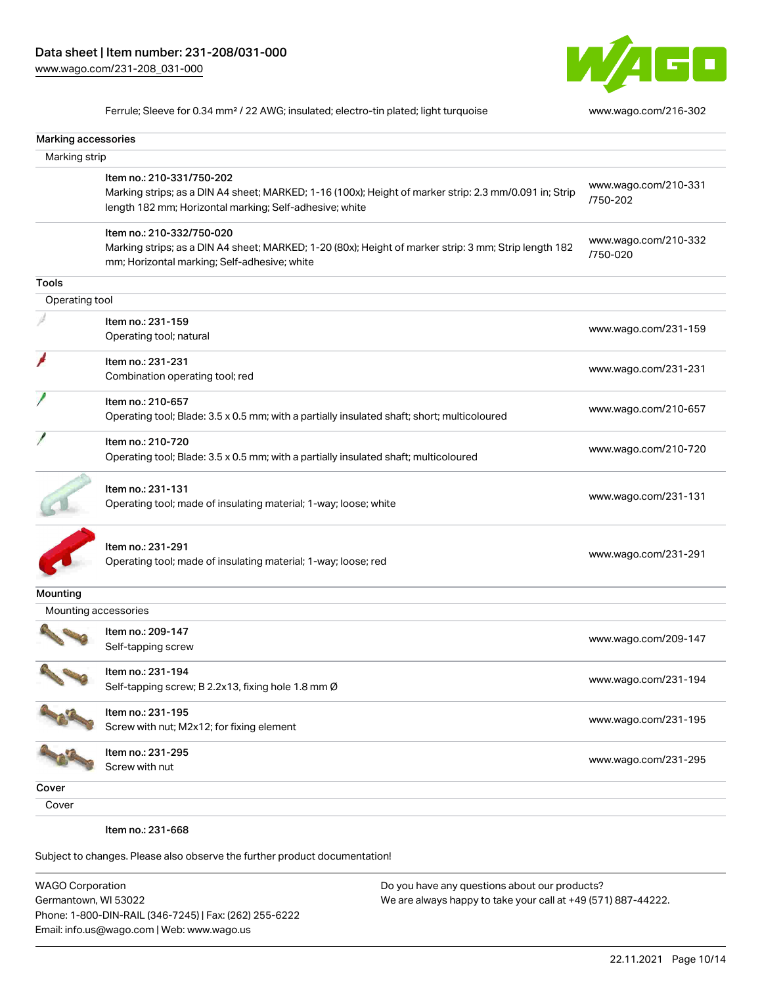

Ferrule; Sleeve for 0.34 mm² / 22 AWG; insulated; electro-tin plated; light turquoise [www.wago.com/216-302](http://www.wago.com/216-302)

| Marking accessories  |                                                                                                                                                                                                |                                  |
|----------------------|------------------------------------------------------------------------------------------------------------------------------------------------------------------------------------------------|----------------------------------|
| Marking strip        |                                                                                                                                                                                                |                                  |
|                      | Item no.: 210-331/750-202<br>Marking strips; as a DIN A4 sheet; MARKED; 1-16 (100x); Height of marker strip: 2.3 mm/0.091 in; Strip<br>length 182 mm; Horizontal marking; Self-adhesive; white | www.wago.com/210-331<br>/750-202 |
|                      | Item no.: 210-332/750-020<br>Marking strips; as a DIN A4 sheet; MARKED; 1-20 (80x); Height of marker strip: 3 mm; Strip length 182<br>mm; Horizontal marking; Self-adhesive; white             | www.wago.com/210-332<br>/750-020 |
| <b>Tools</b>         |                                                                                                                                                                                                |                                  |
| Operating tool       |                                                                                                                                                                                                |                                  |
|                      | Item no.: 231-159<br>Operating tool; natural                                                                                                                                                   | www.wago.com/231-159             |
|                      | Item no.: 231-231<br>Combination operating tool; red                                                                                                                                           | www.wago.com/231-231             |
|                      | Item no.: 210-657<br>Operating tool; Blade: 3.5 x 0.5 mm; with a partially insulated shaft; short; multicoloured                                                                               | www.wago.com/210-657             |
|                      | Item no.: 210-720<br>Operating tool; Blade: 3.5 x 0.5 mm; with a partially insulated shaft; multicoloured                                                                                      | www.wago.com/210-720             |
|                      | Item no.: 231-131<br>Operating tool; made of insulating material; 1-way; loose; white                                                                                                          | www.wago.com/231-131             |
|                      | Item no.: 231-291<br>Operating tool; made of insulating material; 1-way; loose; red                                                                                                            | www.wago.com/231-291             |
| Mounting             |                                                                                                                                                                                                |                                  |
| Mounting accessories |                                                                                                                                                                                                |                                  |
|                      | Item no.: 209-147<br>Self-tapping screw                                                                                                                                                        | www.wago.com/209-147             |
|                      | Item no.: 231-194<br>Self-tapping screw; B 2.2x13, fixing hole 1.8 mm Ø                                                                                                                        | www.wago.com/231-194             |
|                      | Item no.: 231-195<br>Screw with nut; M2x12; for fixing element                                                                                                                                 | www.wago.com/231-195             |
|                      | Item no.: 231-295<br>Screw with nut                                                                                                                                                            | www.wago.com/231-295             |
| Cover                |                                                                                                                                                                                                |                                  |
| Cover                |                                                                                                                                                                                                |                                  |
|                      | Item no.: 231-668                                                                                                                                                                              |                                  |

Subject to changes. Please also observe the further product documentation!

WAGO Corporation Germantown, WI 53022 Phone: 1-800-DIN-RAIL (346-7245) | Fax: (262) 255-6222 Email: info.us@wago.com | Web: www.wago.us Do you have any questions about our products? We are always happy to take your call at +49 (571) 887-44222.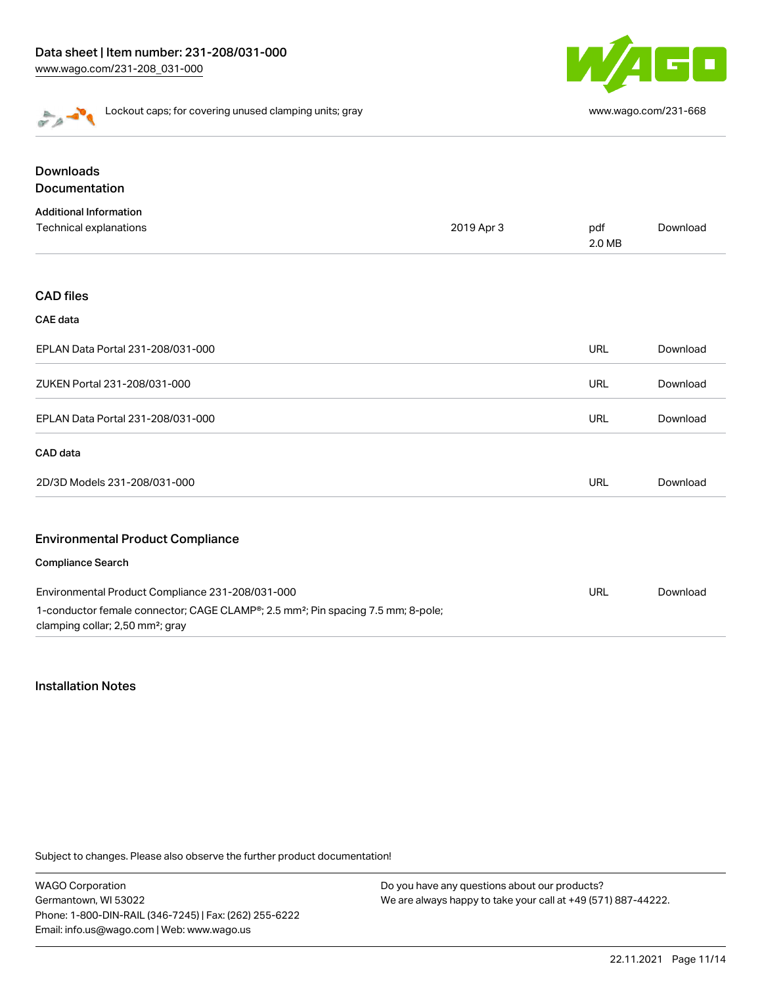

Lockout caps; for covering unused clamping units; gray [www.wago.com/231-668](http://www.wago.com/231-668)

| <b>Downloads</b>                                                                                                                             |            |               |          |
|----------------------------------------------------------------------------------------------------------------------------------------------|------------|---------------|----------|
| Documentation                                                                                                                                |            |               |          |
| <b>Additional Information</b>                                                                                                                |            |               |          |
| Technical explanations                                                                                                                       | 2019 Apr 3 | pdf<br>2.0 MB | Download |
| <b>CAD files</b>                                                                                                                             |            |               |          |
| <b>CAE</b> data                                                                                                                              |            |               |          |
| EPLAN Data Portal 231-208/031-000                                                                                                            |            | <b>URL</b>    | Download |
| ZUKEN Portal 231-208/031-000                                                                                                                 |            | <b>URL</b>    | Download |
| EPLAN Data Portal 231-208/031-000                                                                                                            |            | URL           | Download |
| CAD data                                                                                                                                     |            |               |          |
| 2D/3D Models 231-208/031-000                                                                                                                 |            | <b>URL</b>    | Download |
| <b>Environmental Product Compliance</b>                                                                                                      |            |               |          |
| <b>Compliance Search</b>                                                                                                                     |            |               |          |
| Environmental Product Compliance 231-208/031-000                                                                                             |            | <b>URL</b>    | Download |
| 1-conductor female connector; CAGE CLAMP®; 2.5 mm <sup>2</sup> ; Pin spacing 7.5 mm; 8-pole;<br>clamping collar; 2,50 mm <sup>2</sup> ; gray |            |               |          |

# Installation Notes

Subject to changes. Please also observe the further product documentation!

WAGO Corporation Germantown, WI 53022 Phone: 1-800-DIN-RAIL (346-7245) | Fax: (262) 255-6222 Email: info.us@wago.com | Web: www.wago.us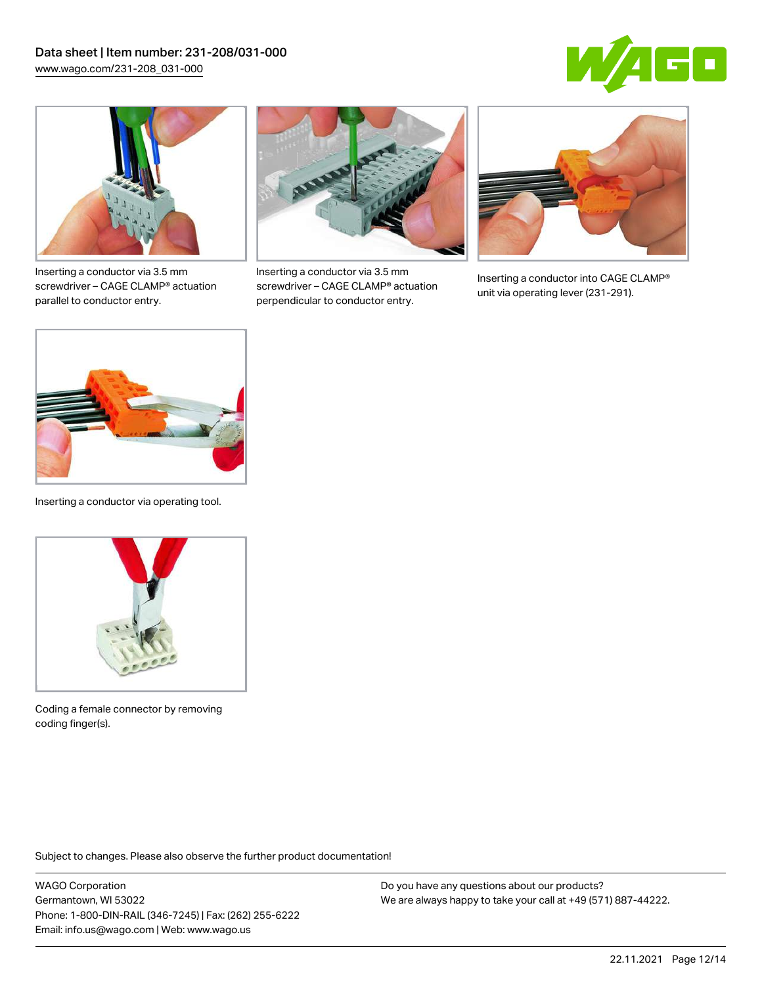



Inserting a conductor via 3.5 mm screwdriver – CAGE CLAMP® actuation parallel to conductor entry.



Inserting a conductor via 3.5 mm screwdriver – CAGE CLAMP® actuation perpendicular to conductor entry.



Inserting a conductor into CAGE CLAMP® unit via operating lever (231-291).



Inserting a conductor via operating tool.



Coding a female connector by removing coding finger(s).

Subject to changes. Please also observe the further product documentation!

WAGO Corporation Germantown, WI 53022 Phone: 1-800-DIN-RAIL (346-7245) | Fax: (262) 255-6222 Email: info.us@wago.com | Web: www.wago.us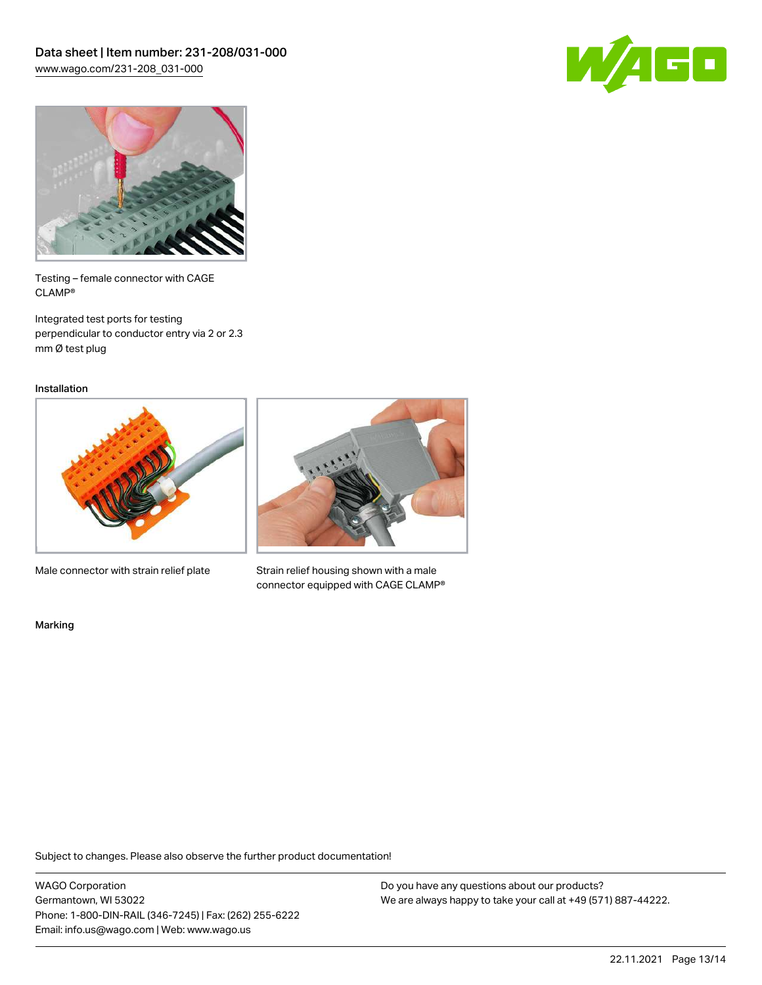



Testing – female connector with CAGE CLAMP®

Integrated test ports for testing perpendicular to conductor entry via 2 or 2.3 mm Ø test plug

Installation



Male connector with strain relief plate



Strain relief housing shown with a male connector equipped with CAGE CLAMP®

Marking

Subject to changes. Please also observe the further product documentation!

WAGO Corporation Germantown, WI 53022 Phone: 1-800-DIN-RAIL (346-7245) | Fax: (262) 255-6222 Email: info.us@wago.com | Web: www.wago.us